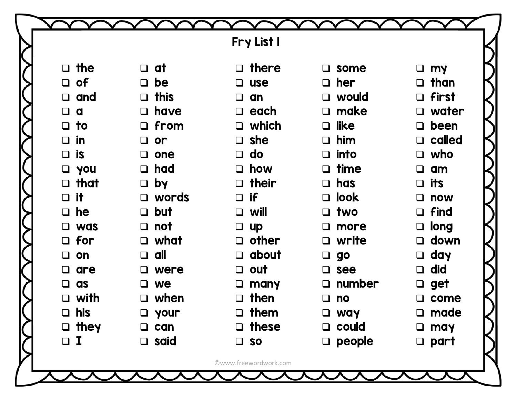|                    |                | Fry List I            |                |                 |
|--------------------|----------------|-----------------------|----------------|-----------------|
| $\Box$ the         | $\Box$ at      | $\Box$ there          | $\square$ some | $\Box$ my       |
| $\Box$ of          | $\Box$ be      | <b>use</b><br>$\Box$  | $\Box$ her     | $\Box$ than     |
| $\Box$ and         | $\Box$ this    | an<br>$\Box$          | $\Box$ would   | $\Box$ first    |
| $\Box$<br>d        | $\Box$ have    | $\Box$ each           | $\square$ make | water<br>$\Box$ |
| $\Box$ to          | $\Box$ from    | $\Box$ which          | $\Box$ like    | $\Box$ been     |
| $\Box$ in          | $\Box$ or      | $\Box$ she            | $\Box$ him     | $\Box$ called   |
| $\Box$ is          | one<br>$\Box$  | $\Box$ do             | $\square$ into | $\Box$ who      |
| $\Box$ you         | $\Box$ had     | $\Box$ how            | $\Box$ time    | am<br>$\Box$    |
| $\Box$ that        | $\Box$ by      | $\Box$ their          | $\Box$ has     | $\Box$ its      |
| $\Box$ it          | $\Box$ words   | $\Box$ if             | $\Box$ look    | $\Box$ now      |
| $\Box$ he          | $\Box$ but     | $\Box$ will           | $\Box$ two     | $\Box$ find     |
| $\Box$ was         | not<br>$\Box$  | $\Box$ up             | $\square$ more | $\Box$ long     |
| $\Box$ for         | $\Box$ what    | $\Box$ other          | $\Box$ write   | $\Box$ down     |
| on<br>$\Box$       | all<br>$\Box$  | $\Box$ about          | $\Box$ go      | $\Box$ day      |
| are<br>$\Box$      | $\Box$ were    | $\Box$ out            | $\square$ see  | did<br>$\Box$   |
| as<br>❏            | we             | $\Box$ many           | $\Box$ number  | get<br>$\Box$   |
| with<br>$\Box$     | when<br>$\Box$ | then<br>$\Box$        | no<br>Q.       | come<br>$\Box$  |
| his<br>□           | $\Box$ your    | $\Box$ them           | <b>Q</b> way   | made<br>$\Box$  |
| they<br>$\Box$     | can            | $\Box$ these          | $\Box$ could   | may<br>❏        |
| $\bf{I}$<br>$\Box$ | $\Box$ said    | $\Box$ so             | $\Box$ people  | part<br>$\Box$  |
|                    |                | ©www.freewordwork.com |                |                 |
|                    |                |                       |                |                 |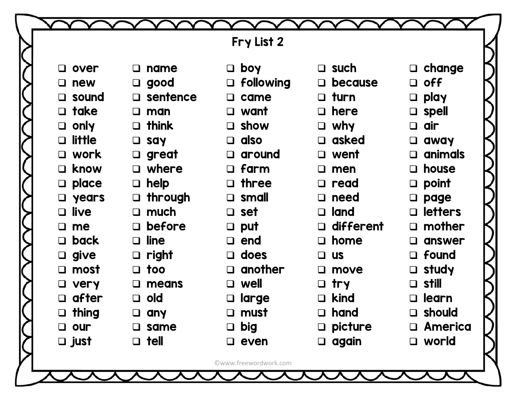|                         |                    | Fry List 2            |                   |                          |
|-------------------------|--------------------|-----------------------|-------------------|--------------------------|
|                         |                    |                       |                   |                          |
| over<br>$\Box$          | $\Box$ name        | boy<br>$\Box$         | $\Box$ such       | $\Box$ change            |
| $\Box$ new              | $\Box$ good        | $\Box$ following      | $\Box$ because    | <b>off</b><br>$\Box$     |
| sound<br>$\Box$         | $\square$ sentence | came<br>$\Box$        | $\Box$ turn       | play<br>$\Box$           |
| take<br>$\Box$          | $\Box$ man         | want<br>$\Box$        | $\Box$ here       | spell<br>$\Box$          |
| only<br>$\Box$          | $\Box$ think       | $\Box$ show           | $\Box$ why        | dir<br>$\Box$            |
| <b>little</b><br>$\Box$ | $\Box$ say         | <b>also</b><br>$\Box$ | $\Box$ asked      | away<br>$\Box$           |
| work<br>$\Box$          | $\Box$ great       | around<br>$\Box$      | $\Box$ went       | animals<br>$\Box$        |
| know<br>$\Box$          | $\Box$ where       | $\Box$ farm           | $\square$ men     | house<br>$\Box$          |
| place<br>$\Box$         | $\Box$ help        | $\Box$ three          | $\Box$ read       | point<br>$\Box$          |
| years<br>$\Box$         | $\Box$ through     | $\Box$ small          | $\Box$ need       | page<br>$\Box$           |
| $\Box$ live             | $\Box$ much        | $\Box$ set            | $\Box$ land       | <b>letters</b><br>$\Box$ |
| $\Box$<br>me            | $\Box$ before      | $\Box$ put            | $\Box$ different  | $\Box$ mother            |
| <b>back</b><br>$\Box$   | $\Box$ line        | end<br>$\Box$         | $\Box$ home       | answer<br>$\Box$         |
| $\Box$ give             | $\Box$ right       | does<br>$\Box$        | $\Box$ us         | $\Box$ found             |
| most<br>$\Box$          | $\Box$ too         | another<br>$\Box$     | $\square$ move    | $\Box$ study             |
| very                    | means<br>❏         | well<br>$\Box$        | $\Box$ try        | <b>still</b>             |
| after                   | $\Box$ old         | large<br>$\Box$       | $\Box$ kind       | learn<br>$\Box$          |
| thing                   | $\Box$ any         | must<br>$\Box$        | $\Box$ hand       | $\Box$ should            |
| our                     | $\square$ same     | big<br>$\Box$         | $\square$ picture | <b>Q</b> America         |
| $\Box$ just             | $\Box$ tell        | even<br>❏.            | $\Box$ again      | $\Box$ world             |
|                         |                    | ©www.freewordwork.com |                   |                          |
|                         |                    |                       |                   |                          |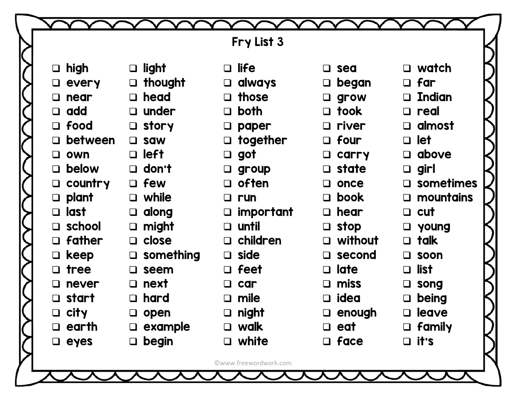|                    |                   |                     | Fry List 3            |                   |                     |  |
|--------------------|-------------------|---------------------|-----------------------|-------------------|---------------------|--|
|                    |                   |                     |                       |                   |                     |  |
|                    | $\Box$ high       | $\Box$ light        | $\Box$ life           | $\Box$ sea        | $\Box$ watch        |  |
|                    | $\Box$ every      | $\Box$ thought      | $\Box$ always         | began<br>$\Box$   | $\Box$ far          |  |
|                    | near<br>$\Box$    | $\Box$ head         | $\Box$ those          | grow<br>$\Box$    | $\Box$ Indian       |  |
|                    | $\Box$ add        | $\Box$ under        | $\Box$ both           | took<br>$\Box$    | $\Box$ real         |  |
|                    | $\Box$ food       | $\Box$ story        | $\Box$ paper          | $\Box$ river      | $\Box$ almost       |  |
|                    | between<br>$\Box$ | $\Box$ saw          | $\Box$ together       | $\Box$ four       | $\Box$ let          |  |
|                    | own<br>$\Box$     | $\Box$ left         | $\Box$ got            | carry<br>$\Box$   | $\Box$ above        |  |
|                    | below<br>$\Box$   | $\Box$ don't        | $\Box$ group          | $\Box$ state      | $\Box$ girl         |  |
|                    | country<br>$\Box$ | $\Box$ few          | $\Box$ often          | once<br>$\Box$    | $\square$ sometimes |  |
|                    | plant<br>$\Box$   | $\Box$ while        | $\Box$ run            | book<br>$\Box$    | $\square$ mountains |  |
|                    | □ last            | along<br>$\Box$     | $\Box$ important      | $\Box$ hear       | $\Box$ cut          |  |
|                    | $\Box$ school     | might<br>$\Box$     | $\Box$ until          | $\Box$ stop       | $\Box$ young        |  |
|                    | father<br>$\Box$  | $\Box$ close        | $\Box$ children       | without<br>$\Box$ | $\Box$ talk         |  |
|                    | keep<br>$\Box$    | $\square$ something | $\Box$ side           | $\Box$ second     | $\square$ soon      |  |
|                    | tree<br>$\Box$    | $\square$ seem      | $\Box$ feet           | late<br>$\Box$    | $\Box$ list         |  |
|                    | never             | next<br>$\Box$      | $\Box$ car            | miss<br>$\Box$    | $\square$ song      |  |
|                    | start<br>$\Box$   | hard<br>$\Box$      | $\Box$ mile           | idea<br>$\Box$    | being<br>$\Box$     |  |
| $\left\{ \right\}$ | $\Box$ city       | $\Box$ open         | $\Box$ night          | $\Box$ enough     | $\Box$ leave        |  |
|                    | $\Box$ earth      | example<br>$\Box$   | □ walk                | $\Box$ eat        | $\Box$ family       |  |
|                    | $\Box$ eyes       | $\Box$ begin        | $\Box$ white          | $\Box$ face       | $\Box$ it's         |  |
|                    |                   |                     | ©www.freewordwork.com |                   |                     |  |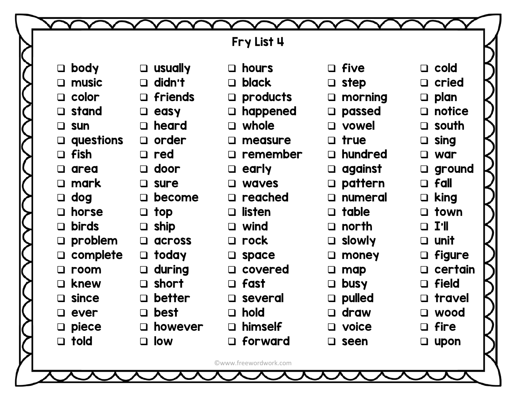|                        |                         | Fry List 4             |                   |                  |
|------------------------|-------------------------|------------------------|-------------------|------------------|
|                        |                         |                        |                   |                  |
| $\Box$ body            | $\Box$ usually          | $\Box$ hours           | $\Box$ five       | $\Box$ cold      |
| $\Box$ music           | $\Box$ didn't           | <b>black</b><br>$\Box$ | $\Box$ step       | $\Box$ cried     |
| $\Box$ color           | $\Box$ friends          | products<br>$\Box$     | $\Box$ morning    | $\Box$ plan      |
| $\Box$ stand           | $\Box$ easy             | happened<br>$\Box$     | $\Box$ passed     | $\Box$ notice    |
| <b>SUN</b><br>$\Box$   | $\Box$ heard            | $\Box$ whole           | $\Box$ vowel      | $\Box$ south     |
| $\Box$ questions       | $\Box$ order            | measure<br>$\Box$      | $\Box$ true       | $\Box$ sing      |
| $\Box$ fish            | $\Box$ red              | $\Box$ remember        | $\Box$ hundred    | $\Box$ war       |
| area<br>$\Box$         | $\Box$ door             | $\Box$ early           | against<br>$\Box$ | $\square$ ground |
| $\square$ mark         | $\Box$ sure             | waves<br>$\Box$        | $\Box$ pattern    | $\Box$ fall      |
| dog<br>$\Box$          | $\Box$ become           | $\Box$ reached         | $\Box$ numeral    | king<br>$\Box$   |
| horse<br>$\Box$        | $\Box$ top              | listen<br>$\Box$       | $\Box$ table      | $\Box$ town      |
| <b>birds</b><br>$\Box$ | $\Box$ ship             | $\Box$ wind            | $\Box$ north      | $\Box$ I'll      |
| $\Box$ problem         | <b>ACLOSS</b><br>$\Box$ | $\Box$ rock            | $\Box$ slowly     | $\Box$ unit      |
| complete<br>$\Box$     | $\Box$ today            | space<br>$\Box$        | money<br>$\Box$   | $\Box$ figure    |
| room<br>$\Box$         | $\Box$ during           | $\Box$ covered         | map<br>$\Box$     | $\Box$ certain   |
| knew<br>$\Box$         | $\Box$ short            | $\Box$ fast            | busy<br>$\Box$    | $\Box$ field     |
| since<br>$\Box$        | <b>better</b><br>$\Box$ | $\Box$ several         | $\Box$ pulled     | travel<br>$\Box$ |
| ever                   | $\Box$ best             | hold<br>$\Box$         | $\Box$ draw       | □ wood           |
| $\Box$ piece           | $\Box$ however          | himself<br>$\Box$      | $\Box$ voice      | $\Box$ fire      |
| $\Box$ told            | $\Box$ low              | $\Box$ forward         | $\square$ seen    | upon<br>$\Box$   |
|                        |                         | ©www.freewordwork.com  |                   |                  |

 $\blacktriangle$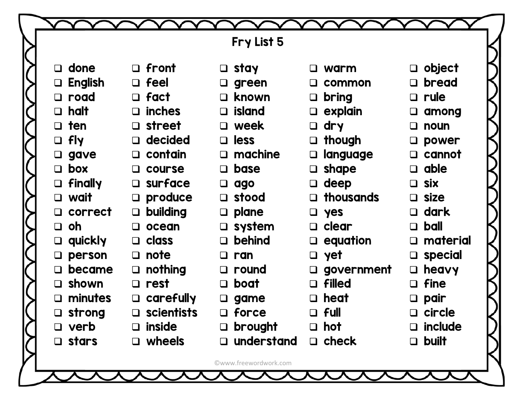|                  |                     | Fry List 5            |                        |                         |
|------------------|---------------------|-----------------------|------------------------|-------------------------|
| $\Box$ done      | $\Box$ front        | $\Box$ stay           | $\Box$ warm            | $\Box$ object           |
| $\Box$ English   | $\Box$ feel         | $\Box$ green          | $\Box$ common          | bread<br>$\Box$         |
| $\Box$ road      | $\Box$ fact         | $\Box$ known          | <b>bring</b><br>$\Box$ | rule<br>$\Box$          |
| $\Box$ halt      | $\Box$ inches       | $\Box$ island         | $\Box$ explain         | $\Box$                  |
| $\Box$ ten       | $\Box$ street       | □ week                | $\Box$ dry             | among<br>noun<br>$\Box$ |
| $\Box$ fly       | $\Box$ decided      | $\Box$ less           |                        |                         |
|                  |                     |                       | $\Box$ though          | power<br>$\Box$         |
| $\Box$ gave      | $\Box$ contain      | $\Box$ machine        | $\Box$ language        | cannot<br>$\Box$        |
| $\Box$ box       | $\Box$ course       | $\Box$ base           | $\Box$ shape           | able<br>$\Box$          |
| $\Box$ finally   | $\square$ surface   | $\Box$ ago            | $\Box$ deep            | <b>Six</b><br>$\Box$    |
| $\Box$ wait      | $\Box$ produce      | $\Box$ stood          | $\Box$ thousands       | $\Box$ size             |
| $\Box$ correct   | $\Box$ building     | $\Box$ plane          | $\Box$ yes             | dark<br>$\Box$          |
| $\Box$ oh        | $\Box$ ocean        | $\square$ system      | $\Box$ clear           | ball<br>$\Box$          |
| $\Box$ quickly   | $\Box$ class        | $\Box$ behind         | $\Box$ equation        | material<br>$\Box$      |
| $\square$ person | $\Box$ note         | $\Box$ ran            | $\Box$ yet             | special<br>$\Box$       |
| became<br>$\Box$ | $\Box$ nothing      | $\Box$ round          | $\square$ government   | heavy<br>$\Box$         |
| $\Box$ shown     | $\Box$ rest         | $\Box$ boat           | $\Box$ filled          | fine<br>$\Box$          |
| $\Box$ minutes   | carefully<br>$\Box$ | $\Box$ game           | $\Box$ heat            | pair                    |
| $\square$ strong | $\Box$ scientists   | $\Box$ force          | $\Box$ full            | $\Box$ circle           |
| $\Box$ verb      | $\Box$ inside       | $\Box$ brought        | $\Box$ hot             | $\Box$ include          |
| $\Box$ stars     | $\Box$ wheels       | $\Box$ understand     | $\Box$ check           | <b>built</b><br>$\Box$  |
|                  |                     | ©www.freewordwork.com |                        |                         |
|                  |                     |                       |                        |                         |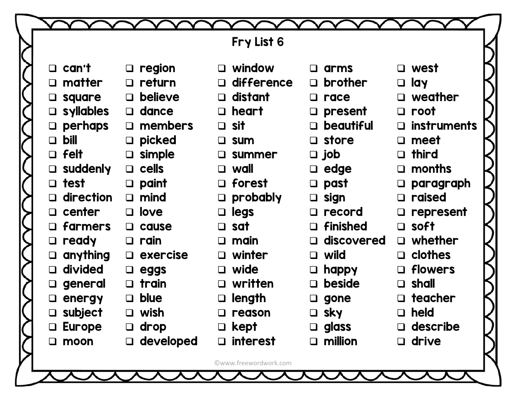|                         |                       | Fry List 6                |                         |                              |  |
|-------------------------|-----------------------|---------------------------|-------------------------|------------------------------|--|
|                         |                       |                           |                         |                              |  |
| $\Box$ can't            | $\Box$ region         | $\Box$ window             | $\square$ arms          | $\Box$ west                  |  |
| $\square$ matter        | $\Box$ return         | difference<br>$\Box$      | $\Box$ brother          | $\Box$ lay                   |  |
| $\Box$ square           | $\Box$ believe        | distant<br>$\Box$         | $\Box$ race             | $\Box$ weather               |  |
| $\Box$ syllables        | $\Box$ dance          | heart<br>$\Box$           | $\Box$ present          | root<br>$\Box$               |  |
| perhaps<br>$\Box$       | members<br>$\Box$     | $\Box$ sit                | $\Box$ beautiful        | <b>instruments</b><br>$\Box$ |  |
| $\Box$ bill             | $\Box$ picked         | <b>SUM</b><br>$\Box$      | $\Box$ store            | meet<br>$\Box$               |  |
| $\Box$ felt             | $\Box$ simple         | summer<br>$\Box$          | $\Box$ job              | $\Box$ third                 |  |
| $\Box$ suddenly         | $\Box$ cells          | $\Box$ wall               | $\Box$ edge             | months<br>$\Box$             |  |
| $\Box$ test             | $\Box$ paint          | forest<br>$\Box$          | $\Box$ past             | paragraph<br>$\Box$          |  |
| $\Box$ direction        | $\Box$ mind           | probably<br>$\Box$        | $\Box$ sign             | raised<br>$\Box$             |  |
| $\Box$ center           | $\Box$ love           | legs<br>$\Box$            | $\Box$ record           | represent<br>$\Box$          |  |
| $\Box$ farmers          | $\Box$ cause          | $\Box$ sat                | $\Box$ finished         | $\Box$ soft                  |  |
| $\Box$ ready            | $\Box$ rain           | main<br>$\Box$            | discovered<br>$\Box$    | $\Box$ whether               |  |
| $\Box$ anything         | $\Box$ exercise       | winter<br>$\Box$          | $\Box$ wild             | $\Box$ clothes               |  |
| $\Box$ divided          | $\Box$ eggs           | wide<br>$\Box$            | $\Box$ happy            | flowers<br>$\Box$            |  |
| $\Box$ general          | $\Box$ train          | written<br>$\Box$         | <b>beside</b><br>$\Box$ | $\Box$ shall                 |  |
| $\Box$ energy           | <b>blue</b><br>$\Box$ | length<br>$\Box$          | gone<br>$\Box$          | teacher<br>$\Box$            |  |
| subject<br>$\Box$       | $\Box$ wish           | reason<br>$\Box$          | $\Box$ sky              | held<br>$\Box$               |  |
| <b>Europe</b><br>$\Box$ | $\Box$ drop           | kept<br>$\Box$            | $\Box$ glass            | $\Box$ describe              |  |
| $\Box$ moon             | $\Box$ developed      | <b>interest</b><br>$\Box$ | $\Box$ million          | $\Box$ drive                 |  |
|                         |                       |                           |                         |                              |  |
|                         |                       | ©www.freewordwork.com     |                         |                              |  |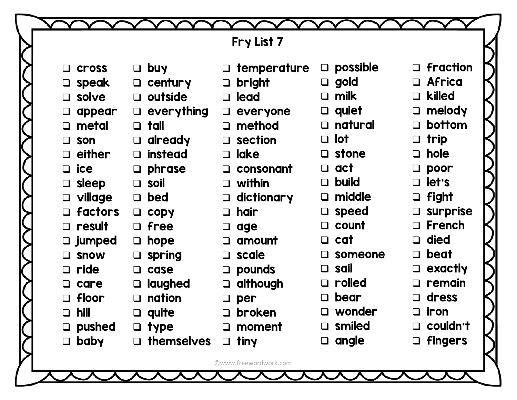|                          |                      | Fry List 7            |                        |                    |
|--------------------------|----------------------|-----------------------|------------------------|--------------------|
|                          |                      |                       |                        |                    |
| <b>Cross</b><br>$\Box$   | <b>buy</b><br>$\Box$ | $\Box$ temperature    | possible<br>$\Box$     | $\Box$ fraction    |
| speak<br>$\Box$          | century<br>$\Box$    | bright<br>$\Box$      | $\Box$ gold            | $\Box$ Africa      |
| solve<br>$\Box$          | outside<br>$\Box$    | $\Box$ lead           | milk                   | killed<br>$\Box$   |
| appear<br>$\Box$         | everything<br>$\Box$ | everyone<br>$\Box$    | quiet<br>$\Box$        | $\Box$ melody      |
| metal<br>$\Box$          | tall<br>$\Box$       | method<br>$\Box$      | natural<br>$\Box$      | bottom<br>$\Box$   |
| son<br>$\Box$            | already<br>$\Box$    | $\square$ section     | <b>lot</b><br>$\Box$   | $\Box$ trip        |
| either<br>$\Box$         | instead<br>$\Box$    | $\Box$ lake           | $\Box$ stone           | $\Box$ hole        |
| ice<br>$\Box$            | phrase<br>$\Box$     | $\Box$ consonant      | act<br>$\Box$          | $\Box$ poor        |
| sleep<br>$\Box$          | $\Box$ soil          | $\Box$ within         | <b>build</b><br>$\Box$ | $\Box$ let's       |
| village<br>$\Box$        | bed<br>$\Box$        | dictionary<br>$\Box$  | middle                 | $\Box$ fight       |
| <b>factors</b><br>$\Box$ | copy<br>$\Box$       | hair<br>$\Box$        | speed<br>$\Box$        | $\square$ surprise |
| $\Box$ result            | $\Box$ free          | $\Box$<br>age         | $\Box$ count           | $\Box$ French      |
| $\square$ jumped         | hope<br>$\Box$       | amount<br>$\Box$      | $\Box$ cat             | $\Box$ died        |
| <b>SNOW</b><br>❏         | spring<br>$\Box$     | $\Box$ scale          | someone                | $\Box$ beat        |
| ride<br>$\Box$           | case<br>$\Box$       | $\square$ pounds      | sail<br>$\Box$         | exactly<br>$\Box$  |
| care<br>$\Box$           | laughed<br>$\Box$    | although<br>$\Box$    | rolled                 | remain<br>$\Box$   |
| floor<br>$\Box$          | nation<br>$\Box$     | per<br>$\Box$         | bear                   | dress<br>$\Box$    |
| hill<br>$\Box$           | $\Box$ quite         | broken<br>□           | wonder                 | $\Box$ iron        |
| pushed<br>$\Box$         | $\Box$ type          | moment<br>$\Box$      | $\square$ smiled       | $\Box$ couldn't    |
| <b>baby</b><br>$\Box$    | themselves           | $\Box$ tiny           | $\Box$ angle           | $\Box$ fingers     |
|                          |                      | ©www.freewordwork.com |                        |                    |
|                          |                      |                       |                        |                    |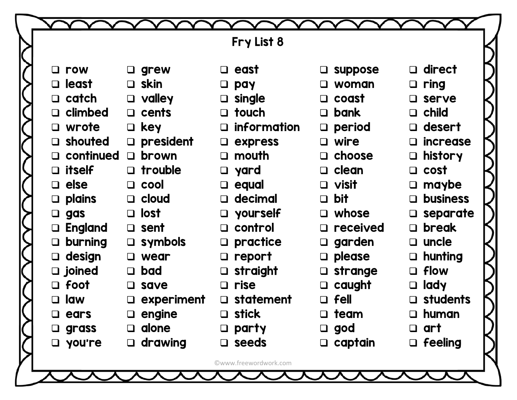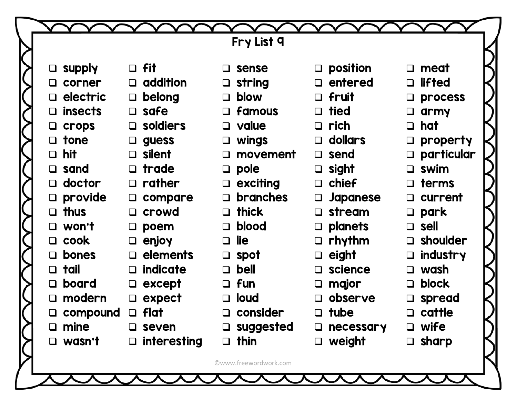|                          |                    | Fry List 9                |                     |                         |  |
|--------------------------|--------------------|---------------------------|---------------------|-------------------------|--|
|                          |                    |                           |                     |                         |  |
| $\Box$ supply            | $\Box$ fit         | $\square$ sense           | $\square$ position  | $\square$ meat          |  |
| corner<br>$\Box$         | $\Box$ addition    | string<br>$\Box$          | $\Box$ entered      | <b>lifted</b><br>$\Box$ |  |
| electric<br>$\Box$       | $\Box$ belong      | $\Box$ blow               | $\Box$ fruit        | process<br>$\Box$       |  |
| <b>insects</b><br>$\Box$ | $\Box$ safe        | $\Box$ famous             | $\Box$ tied         | army<br>$\Box$          |  |
| $\Box$ crops             | $\square$ soldiers | $\Box$ value              | $\Box$ rich         | $\Box$ hat              |  |
| $\Box$ tone              | $\Box$ guess       | $\Box$ wings              | $\Box$ dollars      | property<br>$\Box$      |  |
| $\Box$ hit               | $\Box$ silent      | movement<br>$\Box$        | $\Box$ send         | $\square$ particular    |  |
| $\square$ sand           | $\Box$ trade       | $\Box$ pole               | $\Box$ sight        | $\Box$ swim             |  |
| doctor<br>$\Box$         | $\Box$ rather      | $\Box$ exciting           | $\Box$ chief        | $\Box$ terms            |  |
| $\Box$ provide           | $\Box$ compare     | <b>branches</b><br>$\Box$ | $\Box$ Japanese     | current<br>$\Box$       |  |
| thus<br>$\Box$           | $\Box$ crowd       | $\Box$ thick              | $\square$ stream    | $\square$ park          |  |
| $\Box$ won't             | $\square$ poem     | $\Box$ blood              | $\Box$ planets      | $\Box$ sell             |  |
| $\Box$ cook              | $\Box$ enjoy       | lie<br>$\Box$             | $\Box$ rhythm       | $\Box$ shoulder         |  |
| <b>bones</b><br>$\Box$   | $\Box$ elements    | $\square$ spot            | eight<br>$\Box$     | industry<br>$\Box$      |  |
| tail<br>$\Box$           | $\Box$ indicate    | $\Box$ bell               | $\square$ science   | $\Box$ wash             |  |
| board<br>$\Box$          | $\Box$ except      | $\Box$ fun                | major<br>$\Box$     | block<br>$\Box$         |  |
| modern<br>$\Box$         | expect<br>$\Box$   | $\Box$ loud               | $\square$ observe   | spread<br>$\Box$        |  |
| compound                 | $\Box$ flat        | consider                  | $\Box$ tube         | $\Box$ cattle           |  |
| mine<br>$\Box$           | $\square$ seven    | $\square$ suggested       | necessary<br>$\Box$ | $\n  wife\n$            |  |
| $\Box$ wasn't            | $\Box$ interesting | $\Box$ thin               | $\Box$ weight       | $\Box$ sharp            |  |
|                          |                    |                           |                     |                         |  |
|                          |                    | ©www.freewordwork.com     |                     |                         |  |